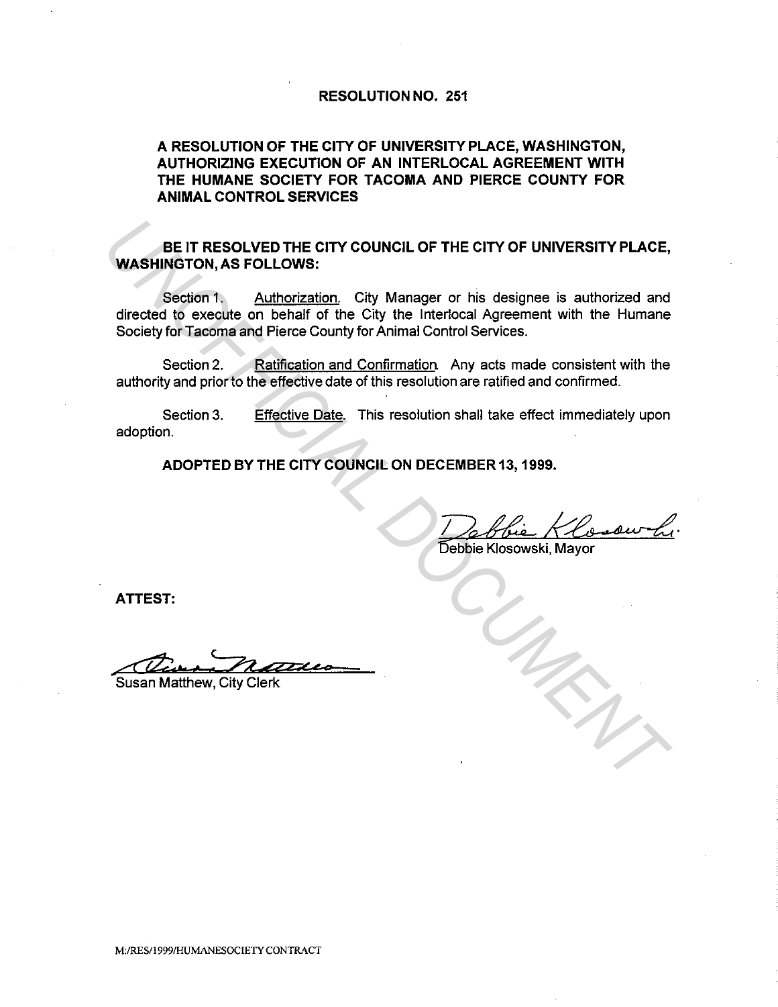## RESOLUTION NO. 251

## A RESOLUTION OF THE CITY OF UNIVERSITY PLACE, WASHINGTON, AUTHORIZING EXECUTION OF AN INTERLOCAL AGREEMENT WITH THE HUMANE SOCIETY FOR TACOMA AND PIERCE COUNTY FOR ANIMAL CONTROL SERVICES

BE IT RESOLVED THE CITY COUNCIL OF THE CITY OF UNIVERSITY PLACE, WASHINGTON, AS FOLLOWS:

Section 1. Authorization. City Manager or his designee is authorized and directed to execute on behalf of the City the lnterlocal Agreement with the Humane Society for Tacoma and Pierce County for Animal Control Services. **UNAGRIFINGTON, AS FOLLOWS:**<br>
Section 1, Authorization City Manager or his designee is authorized and<br>
Seciety for Tacoma and Pierce County for Animal Control Servences.<br>
Seciety for Tacoma and Pierce County for Animal Con

Section 2. Ratification and Confirmation. Any acts made consistent with the authority and prior to the effective date of this resolution are ratified and confirmed.

Section 3. adoption. Effective Date. This resolution shall take effect immediately upon

ADOPTED BY THE CITY COUNCIL ON DECEMBER 13, 1999.

Debbie Klosowski, Mayor

ATTEST:

**Susan Matthew, City Clerk**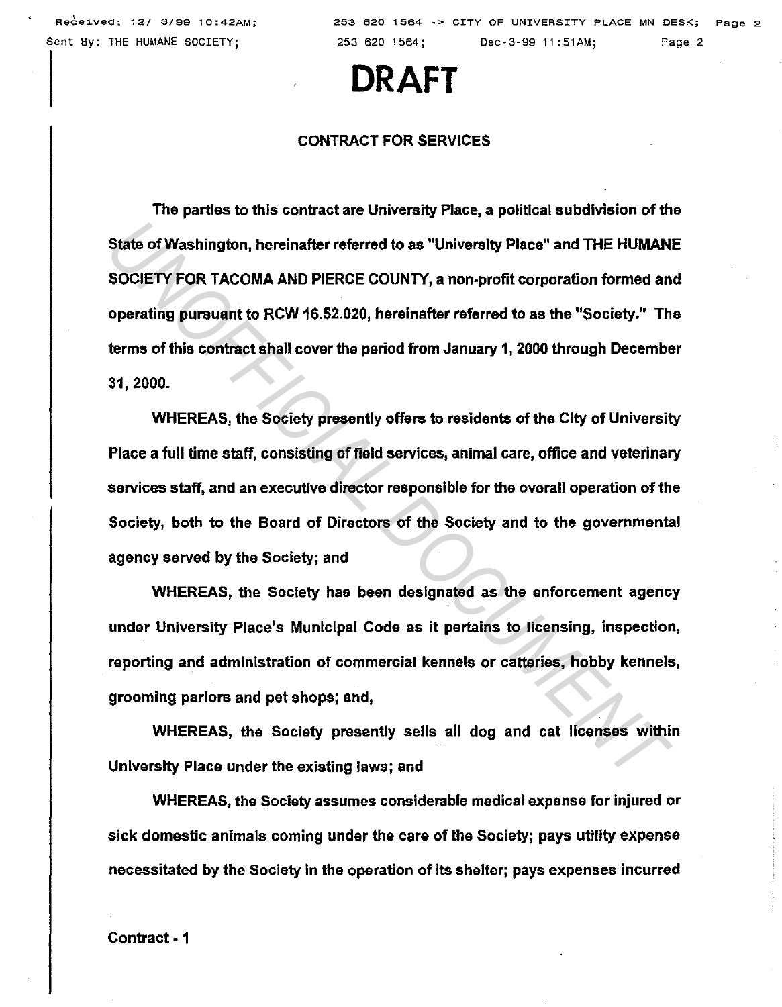## **DRAFT**

## CONTRACT FOR SERVICES

The parties to this contract are University Place, a political subdivision of the State of Washington, hereinafter referred to as "University Place" and THE HUMANE SOCIETY FOR TACOMA AND PIERCE COUNTY, a non-profit corporation formed and operating pursuant to RCW 16.52.020, hereinafter referred to as the "Society." The terms of this contract shall cover the period from January 1, 2000 through December 31, 2000. **State of Washington, hereinafter referred to as "University Place" and THE HUMANISOCIETY FOR TACOMA AND PIERCE COUNTY, a non-profit corporation formed an operating pursuant to RCW 16.52.020, hereinafter referred to as the** 

WHEREAS, the Society presently offers to residents of the City of University Place a full time staff, consisting of field services, animal care, office and veterinary services staff, and an executive director responsible for the overall operation of the Society, both to the Board of Directors of the Society and to the governmental agency served by the Society; and

WHEREAS, the Society has been designated as the enforcement agency under University Place's Municipal Code as it pertains to licensing, inspection, reporting and administration of commercial kennels or catteries, hobby kennels, grooming parlors and pat shops; and,

WHEREAS, the Society presently sells all dog and cat licenses within University Place under the existing laws; and

WHEREAS, the Society assumes considerable medical expense for injured or sick domestic animals coming under the care of the Society; pays utility expense necessitated by the Society in the operation of Its shelter; pays expenses incurred

Contract· 1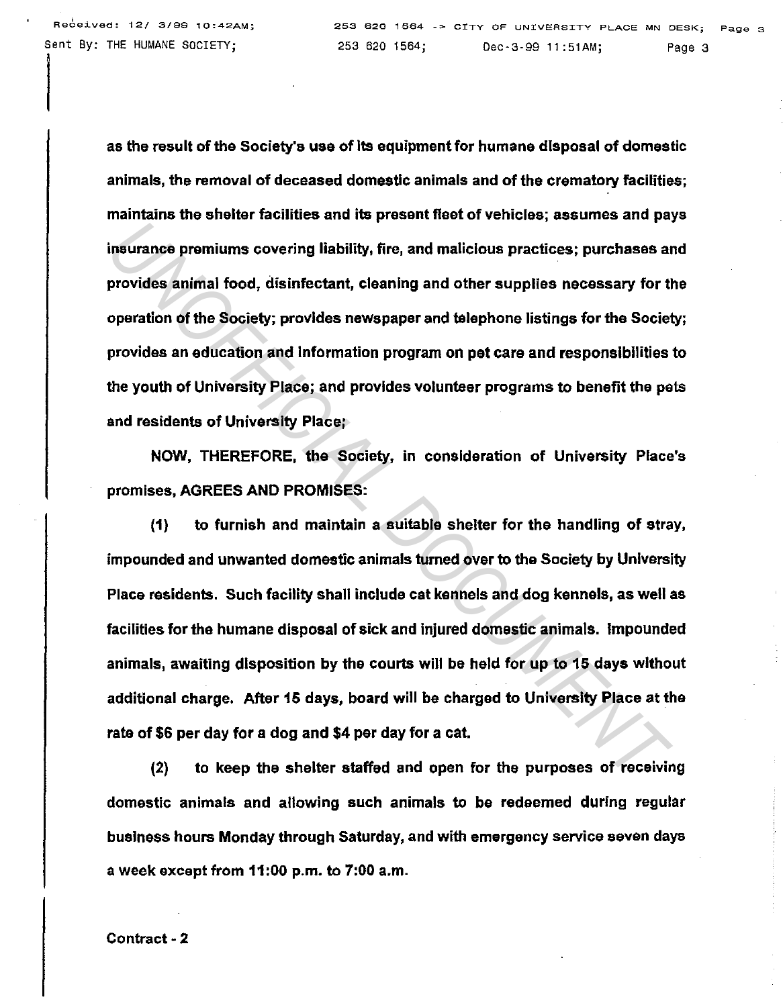!

as the result of the Society's use of Its equipment for humane disposal of domestic animals, the removal of deceased domestic animals and of the crematory facilities; maintains the shelter facilities and its present fleet of vehicles; assumes and pays insurance premiums covering liability, fire, and malicious practices; purchases and provides animal food, disinfectant, cleaning and other supplies necessary for the operation of the Society; provides newspaper and telephone listings for the Society; provides an education and Information program on pet care and responsibilities to the youth of University Place; and provides volunteer programs to benefit the pets and residents of University Place;

NOW, THEREFORE, the Society, in consideration of University Place's promises, AGREES AND PROMISES:

(1) to furnish and maintain a suitable shelter for the handling of stray, impounded and unwanted domestic animals turned over to the Society by University Place residents. Such facility shall include cat kennels and dog kennels, as well as facilities for the humane disposal of sick and injured domestic animals. Impounded animals, awaiting disposition by the courts will be held for up to 15 days without additional charge. After 15 days, board will be charged to University Place *at* the rate of \$6 per day for a dog and \$4 per day for a cat. Insurance promiums covering liability, fire, and malicious practices; purchases at<br>provides animal food, disinfectant, cleaning and other supplies necessary for the<br>peration of the Society; provides newspaper and telephone

(2) to keep the shelter staffed and open for the purposes of receiving domestic animals and allowing such animals to be redeemed during regular business hours Monday through Saturday, and with emergency service seven days a week except from 11 :00 p.m. to 7:00 a.m.

Contract-2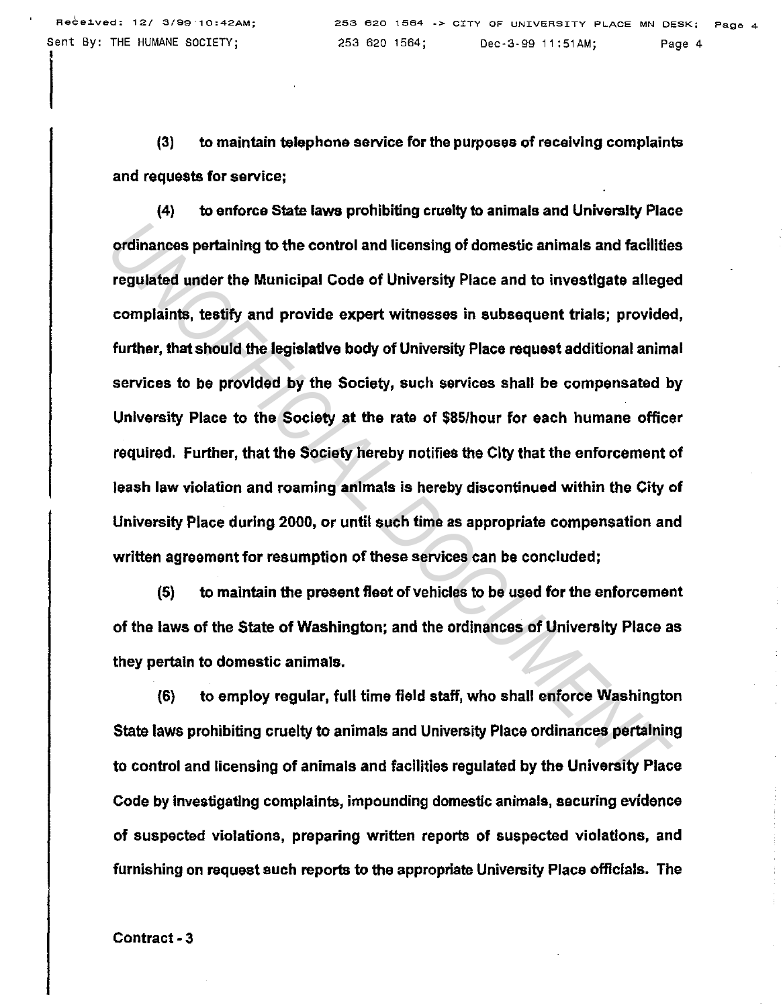I

(3) to maintain telephone service for the purposes of receiving complaints and requests for service;

(4) to enforce State laws prohibiting cruelty to animals and University Place ordinances pertaining to the control and licensing of domestic animals and facilities regulated under the Municipal Code of University Place and to investigate alleged complaints, testify and provide expert witnesses in subsequent trials; provided, further, that should the legislatlve body of University Place request additional animal services to be provided by the Society, such services shall be compensated by University Place to the Society at the rate of \$85/hour for each humane officer required. Further, that the Society hereby notifies the City that the enforcement of leash law violation and roaming anlmals is hereby discontinued within the City of University Place during 2000, or until such time as appropriate compensation and written agreement for resumption of these services can be concluded; ordinances pertaining to the control and licensing of domestic animals and facilities<br>regulated under the Municipal Code of University Place and to investigate allege<br>complaints, testify and provide expert witnesses in sub

(5) to maintain the present fleet of vehicles to be used for the enforcement of the laws of the State of Washington; and the ordinances of University Place as they pertain to domestic animals.

(6) to employ regular, full time field staff, who shall enforce Washington State laws prohibiting cruelty to animals and University Place ordinances pertaining to control and licensing of animals and facilities regulated by the University Place Code by investigating complaints, impounding domestic animals, securing evidence of suspected violations, preparing written reports of suspected violations, and furnishing on request such reports to the appropriate University Place offlclals. The

Contract -3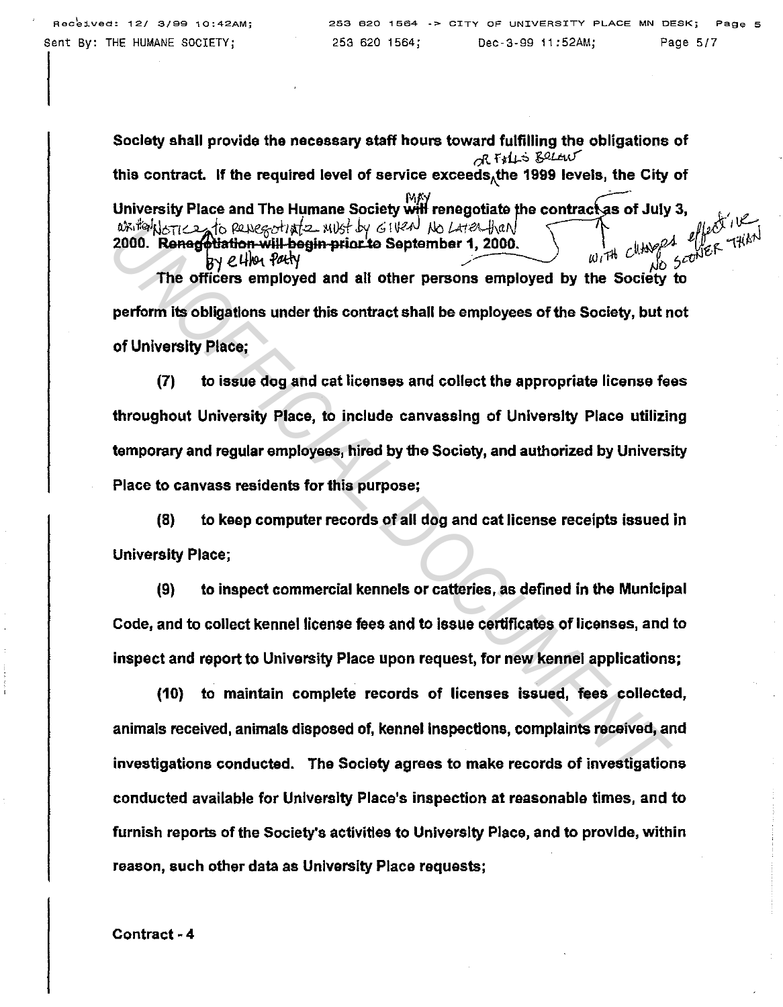Society shall provide the necessary staff hours toward fulfilling the obligations of  $dR$  Filis Below this contract. If the required level of service exceeds, the 1999 levels, the City of University Place and The Humane Society will renegotiate the contract as of July 3, writed where to persecute the wost by 61 Veal No Later than 2000. Renegotiation will begin prior to September 1, 2000.  $w_i$ , the clubber of  $e^{i\theta}$  of  $e^{i\theta}$  and  $e^{i\theta}$  and  $e^{i\theta}$  and  $e^{i\theta}$  and  $e^{i\theta}$  and  $e^{i\theta}$ The officers employed and all other persons employed by the Society to

perform its obligations under this contract shall be employees of the Society, but not of University Place;

(7) to issue dog and cat licenses and collect the appropriate license fees throughout University Place, to include canvassing of University Place utilizing temporary and regular employees, hired by the Society, and authorized by University Place to canvass residents for this purpose; *UNOFFICIAL* 2 *N*(*U<sub>NO</sub> CHVA) N*(*U-HZ*) *N*(*U-HZ*) *N*(*U-HZ*) *N*(*U-HZ*) *N*(*U-HZ*) *N*(*U-HZ*) *N*(*U-HZ*) *N*(*U-HZ*) *N*(*U-HZ*) *N*(*U-HZ*) *N*) *D UNAP D UNAP D UNOFFICIAL BUT <i>UNAPPARTIA Durin* 

(8) to keep computer records of all dog and cat license receipts issued in University Place;

(9) to inspect commercial kennels or catteries, as defined in the Municipal Code, and to collect kennel license fees and to issue certificates of licenses, and to inspect and report to University Place upon request, for new kennel applications;

(10) to maintain complete records of licenses issued, fees collected, animals received, animals disposed of, kennel Inspections, complaints received, and investigations conducted. The Society agrees to make records of investigations conducted available for University Place's inspection at reasonable times, and to furnish reports of the Society's activities to University Place, and to provide, within reason, such other data as University Place requests;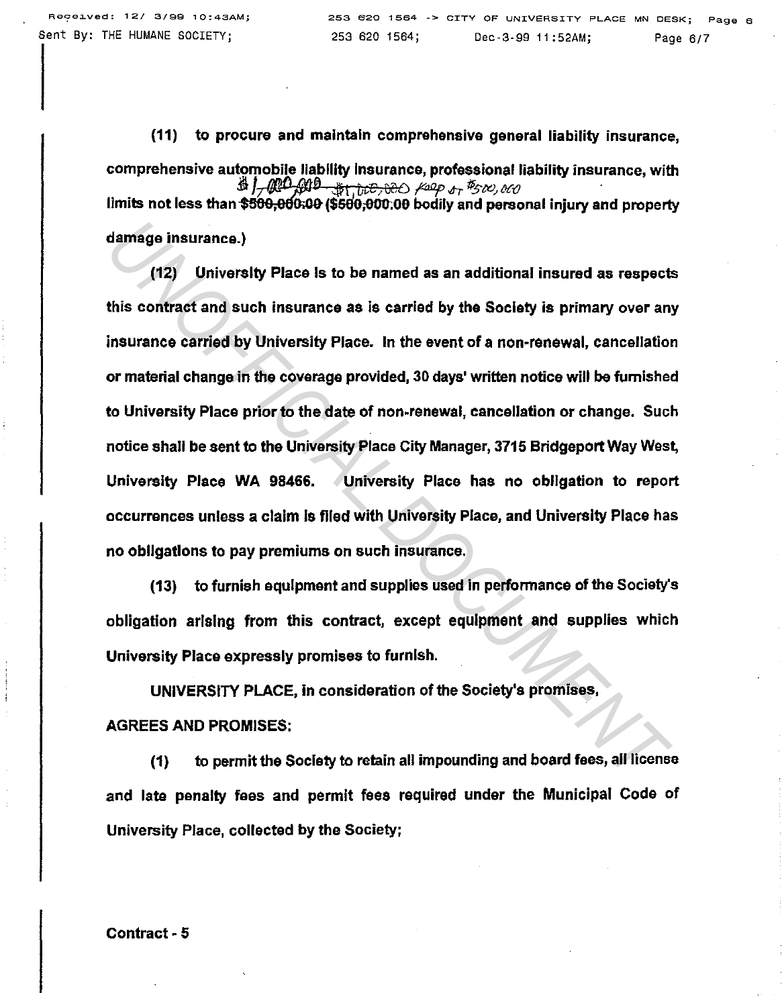(11) to procure and maintain comprehensive general liability insurance, comprehensive automobile liability insurance, professional liability insurance, with  $\frac{1}{2}$  or  $\frac{1}{2}$   $\frac{1}{2}$   $\frac{1}{2}$   $\frac{1}{2}$   $\frac{1}{2}$   $\frac{1}{2}$   $\frac{1}{2}$   $\frac{1}{2}$   $\frac{1}{2}$   $\frac{1}{2}$   $\frac{1}{2}$   $\frac{1}{2}$   $\frac$ limits not less than \$500,000,00 (\$500,000,00 bodily and personal injury and property damage insurance.)

(12) University Place Is to be named as an additional insured as respects this contract and such insurance as is carried by the Society is primary over any insurance carried by University Place. In the event of a non-renewal, cancellation or material change in the coverage provided, 30 days' written notice will be furnished to University Place prior to the date of non-renewal, cancellation or change. Such notice shall be sent to the University Place City Manager, 3715 Bridgeport Way West, University Place WA 98466. University Place has no obligation to report occurrences unless a claim Is flied with University Place, and University Place has no obllgatlons to pay premiums on such insurance. damage insurance.)<br>
(12) University Place is to be named as an additional insured as respect<br>
this contract and such insurance as is carried by the Society is primary over an<br>
insurance carried by University Place. In the

(13) to furnish equipment and supplies used in perfonnance of the Society's obligation arising from this contract, except equipment and supplies which University Place expressly promises to furnish.

UNIVERSITY PLACE, in consideration of the Society's promises, AGREES AND PROMISES:

(1) to permit the Society to retain all impounding and board fees, all license and late penalty fees and permit fees required under the Municipal Code of University Place, collected by the Society;